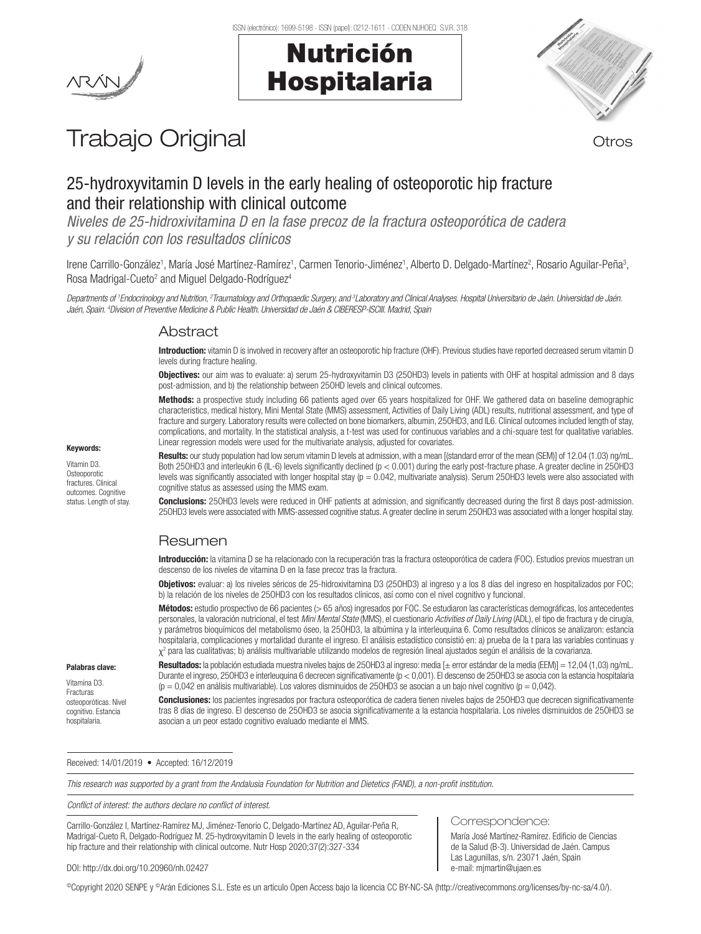# Nutrición Hospitalaria



# Trabajo Original **Trabajo Original**

# 25-hydroxyvitamin D levels in the early healing of osteoporotic hip fracture and their relationship with clinical outcome

*Niveles de 25-hidroxivitamina D en la fase precoz de la fractura osteoporótica de cadera y su relación con los resultados clínicos*

Irene Carrillo-González<sup>1</sup>, María José Martínez-Ramírez<sup>1</sup>, Carmen Tenorio-Jiménez<sup>1</sup>, Alberto D. Delgado-Martínez<sup>2</sup>, Rosario Aguilar-Peña<sup>3</sup>, Rosa Madrigal-Cueto<sup>2</sup> and Miguel Delgado-Rodríguez<sup>4</sup>

Departments of <sup>1</sup>Endocrinology and Nutrition, <sup>2</sup>Traumatology and Orthopaedic Surgery, and <sup>3</sup>Laboratory and Clinical Analyses. Hospital Universitario de Jaén. Universidad de Jaén. *Jaén, Spain. 4 Division of Preventive Medicine & Public Health. Universidad de Jaén & CIBERESP-ISCIII. Madrid, Spain*

# Abstract

Introduction: vitamin D is involved in recovery after an osteoporotic hip fracture (OHF). Previous studies have reported decreased serum vitamin D levels during fracture healing.

Objectives: our aim was to evaluate: a) serum 25-hydroxyvitamin D3 (25OHD3) levels in patients with OHF at hospital admission and 8 days post-admission, and b) the relationship between 25OHD levels and clinical outcomes.

Methods: a prospective study including 66 patients aged over 65 years hospitalized for OHF. We gathered data on baseline demographic characteristics, medical history, Mini Mental State (MMS) assessment, Activities of Daily Living (ADL) results, nutritional assessment, and type of fracture and surgery. Laboratory results were collected on bone biomarkers, albumin, 25OHD3, and IL6. Clinical outcomes included length of stay, complications, and mortality. In the statistical analysis, a t-test was used for continuous variables and a chi-square test for qualitative variables. Linear regression models were used for the multivariate analysis, adjusted for covariates.

# Keywords:

Vitamin D3. **Osteoporotic** fractures. Clinical outcomes. Cognitive status. Length of stay.

Results: our study population had low serum vitamin D levels at admission, with a mean [(standard error of the mean (SEM)] of 12.04 (1.03) ng/mL. Both 25OHD3 and interleukin 6 (IL-6) levels significantly declined (p < 0.001) during the early post-fracture phase. A greater decline in 25OHD3 levels was significantly associated with longer hospital stay ( $p = 0.042$ , multivariate analysis). Serum 250HD3 levels were also associated with cognitive status as assessed using the MMS exam.

**Conclusions:** 25OHD3 levels were reduced in OHF patients at admission, and significantly decreased during the first 8 days post-admission. 25OHD3 levels were associated with MMS-assessed cognitive status. A greater decline in serum 25OHD3 was associated with a longer hospital stay.

### Resumen

Introducción: la vitamina D se ha relacionado con la recuperación tras la fractura osteoporótica de cadera (FOC). Estudios previos muestran un descenso de los niveles de vitamina D en la fase precoz tras la fractura.

Objetivos: evaluar: a) los niveles séricos de 25-hidroxivitamina D3 (250HD3) al ingreso y a los 8 días del ingreso en hospitalizados por FOC; b) la relación de los niveles de 25OHD3 con los resultados clínicos, así como con el nivel cognitivo y funcional.

Métodos: estudio prospectivo de 66 pacientes (> 65 años) ingresados por FOC. Se estudiaron las características demográficas, los antecedentes personales, la valoración nutricional, el test *Mini Mental State* (MMS), el cuestionario *Activities of Daily Living* (ADL), el tipo de fractura y de cirugía, y parámetros bioquímicos del metabolismo óseo, la 25OHD3, la albúmina y la interleuquina 6. Como resultados clínicos se analizaron: estancia hospitalaria, complicaciones y mortalidad durante el ingreso. El análisis estadístico consistió en: a) prueba de la t para las variables continuas y  $\chi^2$  para las cualitativas; b) análisis multivariable utilizando modelos de regresión lineal ajustados según el análisis de la covarianza.

#### Palabras clave:

Vitamina D3. Fracturas osteoporóticas. Nivel cognitivo. Estancia hospitalaria.

Resultados: la población estudiada muestra niveles bajos de 250HD3 al ingreso: media [± error estándar de la media (EEM)] = 12,04 (1,03) ng/mL. Durante el ingreso, 25OHD3 e interleuquina 6 decrecen significativamente (p < 0,001). El descenso de 25OHD3 se asocia con la estancia hospitalaria  $(p = 0.042$  en análisis multivariable). Los valores disminuidos de 250HD3 se asocian a un bajo nivel cognitivo ( $p = 0.042$ ).

Conclusiones: los pacientes ingresados por fractura osteoporótica de cadera tienen niveles bajos de 25OHD3 que decrecen significativamente tras 8 días de ingreso. El descenso de 25OHD3 se asocia significativamente a la estancia hospitalaria. Los niveles disminuidos de 25OHD3 se asocian a un peor estado cognitivo evaluado mediante el MMS.

Received: 14/01/2019 • Accepted: 16/12/2019

*This research was supported by a grant from the Andalusia Foundation for Nutrition and Dietetics (FAND), a non-profit institution.*

*Conflict of interest: the authors declare no conflict of interest.*

Carrillo-González I, Martínez-Ramírez MJ, Jiménez-Tenorio C, Delgado-Martínez AD, Aguilar-Peña R, Madrigal-Cueto R, Delgado-Rodríguez M. 25-hydroxyvitamin D levels in the early healing of osteoporotic hip fracture and their relationship with clinical outcome. Nutr Hosp 2020;37(2):327-334

#### Correspondence:

María José Martínez-Ramírez. Edificio de Ciencias de la Salud (B-3). Universidad de Jaén. Campus Las Lagunillas, s/n. 23071 Jaén, Spain e-mail: mjmartin@ujaen.es

DOI: http://dx.doi.org/10.20960/nh.02427

©Copyright 2020 SENPE y ©Arán Ediciones S.L. Este es un artículo Open Access bajo la licencia CC BY-NC-SA (http://creativecommons.org/licenses/by-nc-sa/4.0/).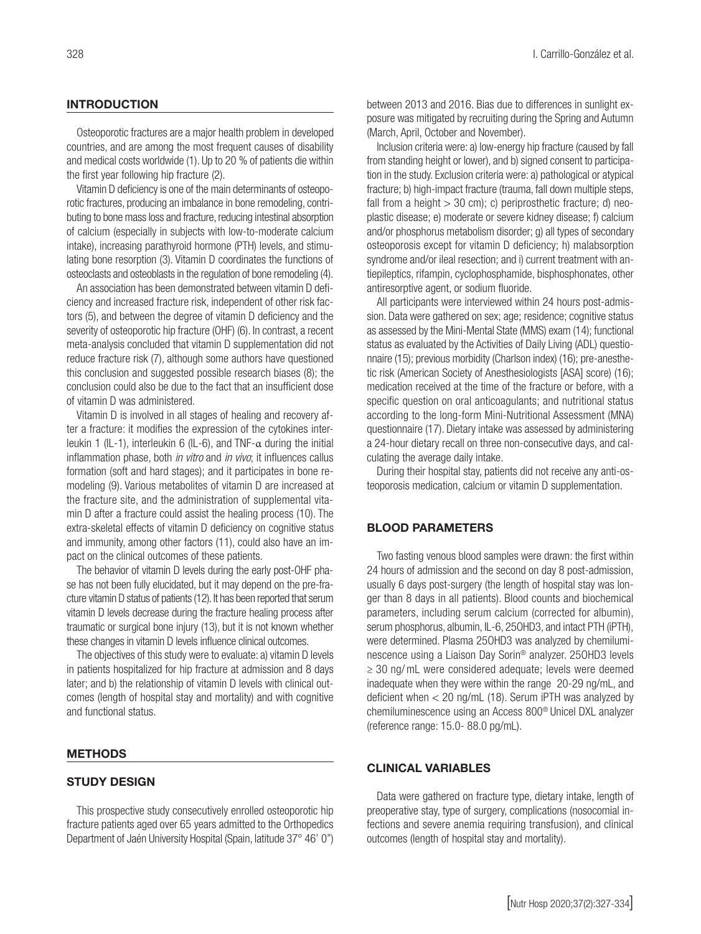### **INTRODUCTION**

Osteoporotic fractures are a major health problem in developed countries, and are among the most frequent causes of disability and medical costs worldwide (1). Up to 20 % of patients die within the first year following hip fracture (2).

Vitamin D deficiency is one of the main determinants of osteoporotic fractures, producing an imbalance in bone remodeling, contributing to bone mass loss and fracture, reducing intestinal absorption of calcium (especially in subjects with low-to-moderate calcium intake), increasing parathyroid hormone (PTH) levels, and stimulating bone resorption (3). Vitamin D coordinates the functions of osteoclasts and osteoblasts in the regulation of bone remodeling (4).

An association has been demonstrated between vitamin D deficiency and increased fracture risk, independent of other risk factors (5), and between the degree of vitamin D deficiency and the severity of osteoporotic hip fracture (OHF) (6). In contrast, a recent meta-analysis concluded that vitamin D supplementation did not reduce fracture risk (7), although some authors have questioned this conclusion and suggested possible research biases (8); the conclusion could also be due to the fact that an insufficient dose of vitamin D was administered.

Vitamin D is involved in all stages of healing and recovery after a fracture: it modifies the expression of the cytokines interleukin 1 (IL-1), interleukin 6 (IL-6), and TNF- $\alpha$  during the initial inflammation phase, both *in vitro* and *in vivo*; it influences callus formation (soft and hard stages); and it participates in bone remodeling (9). Various metabolites of vitamin D are increased at the fracture site, and the administration of supplemental vitamin D after a fracture could assist the healing process (10). The extra-skeletal effects of vitamin D deficiency on cognitive status and immunity, among other factors (11), could also have an impact on the clinical outcomes of these patients.

The behavior of vitamin D levels during the early post-OHF phase has not been fully elucidated, but it may depend on the pre-fracture vitamin D status of patients (12). It has been reported that serum vitamin D levels decrease during the fracture healing process after traumatic or surgical bone injury (13), but it is not known whether these changes in vitamin D levels influence clinical outcomes.

The objectives of this study were to evaluate: a) vitamin D levels in patients hospitalized for hip fracture at admission and 8 days later; and b) the relationship of vitamin D levels with clinical outcomes (length of hospital stay and mortality) and with cognitive and functional status.

### METHODS

### STUDY DESIGN

This prospective study consecutively enrolled osteoporotic hip fracture patients aged over 65 years admitted to the Orthopedics Department of Jaén University Hospital (Spain, latitude 37° 46' 0") between 2013 and 2016. Bias due to differences in sunlight exposure was mitigated by recruiting during the Spring and Autumn (March, April, October and November).

Inclusion criteria were: a) low-energy hip fracture (caused by fall from standing height or lower), and b) signed consent to participation in the study. Exclusion criteria were: a) pathological or atypical fracture; b) high-impact fracture (trauma, fall down multiple steps, fall from a height  $>$  30 cm); c) periprosthetic fracture; d) neoplastic disease; e) moderate or severe kidney disease; f) calcium and/or phosphorus metabolism disorder; g) all types of secondary osteoporosis except for vitamin D deficiency; h) malabsorption syndrome and/or ileal resection; and i) current treatment with antiepileptics, rifampin, cyclophosphamide, bisphosphonates, other antiresorptive agent, or sodium fluoride.

All participants were interviewed within 24 hours post-admission. Data were gathered on sex; age; residence; cognitive status as assessed by the Mini-Mental State (MMS) exam (14); functional status as evaluated by the Activities of Daily Living (ADL) questionnaire (15); previous morbidity (Charlson index) (16); pre-anesthetic risk (American Society of Anesthesiologists [ASA] score) (16); medication received at the time of the fracture or before, with a specific question on oral anticoagulants; and nutritional status according to the long-form Mini-Nutritional Assessment (MNA) questionnaire (17). Dietary intake was assessed by administering a 24-hour dietary recall on three non-consecutive days, and calculating the average daily intake.

During their hospital stay, patients did not receive any anti-osteoporosis medication, calcium or vitamin D supplementation.

### BLOOD PARAMETERS

Two fasting venous blood samples were drawn: the first within 24 hours of admission and the second on day 8 post-admission, usually 6 days post-surgery (the length of hospital stay was longer than 8 days in all patients). Blood counts and biochemical parameters, including serum calcium (corrected for albumin), serum phosphorus, albumin, IL-6, 25OHD3, and intact PTH (iPTH), were determined. Plasma 25OHD3 was analyzed by chemiluminescence using a Liaison Day Sorin® analyzer. 25OHD3 levels ≥ 30 ng/mL were considered adequate; levels were deemed inadequate when they were within the range 20-29 ng/mL, and deficient when < 20 ng/mL (18). Serum iPTH was analyzed by chemiluminescence using an Access 800® Unicel DXL analyzer (reference range: 15.0- 88.0 pg/mL).

# CLINICAL VARIABLES

Data were gathered on fracture type, dietary intake, length of preoperative stay, type of surgery, complications (nosocomial infections and severe anemia requiring transfusion), and clinical outcomes (length of hospital stay and mortality).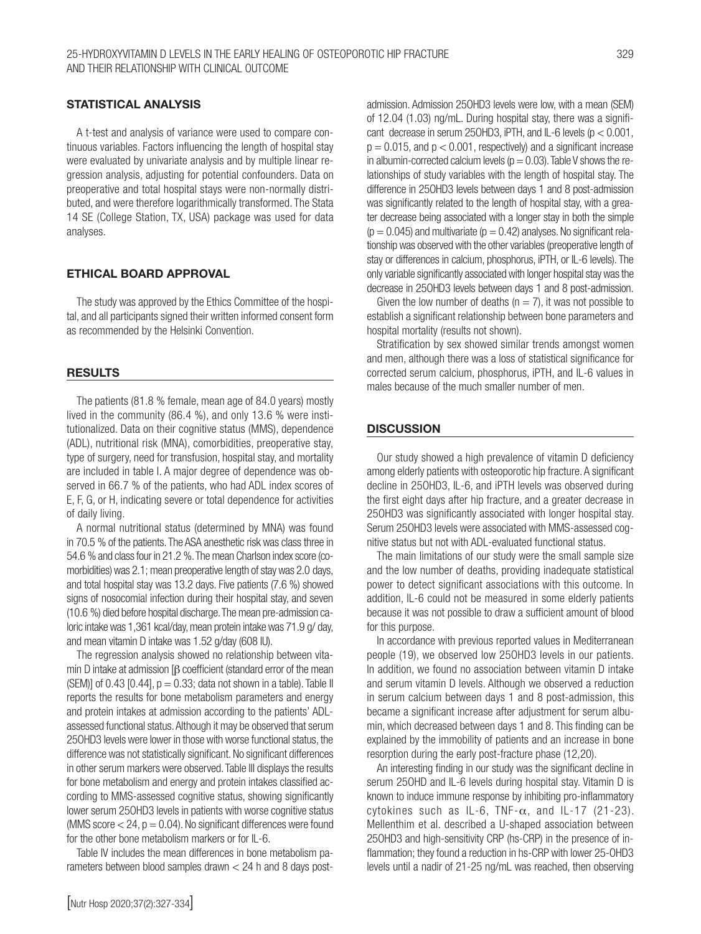#### STATISTICAL ANALYSIS

A t-test and analysis of variance were used to compare continuous variables. Factors influencing the length of hospital stay were evaluated by univariate analysis and by multiple linear regression analysis, adjusting for potential confounders. Data on preoperative and total hospital stays were non-normally distributed, and were therefore logarithmically transformed. The Stata 14 SE (College Station, TX, USA) package was used for data analyses.

### ETHICAL BOARD APPROVAL

The study was approved by the Ethics Committee of the hospital, and all participants signed their written informed consent form as recommended by the Helsinki Convention.

#### RESULTS

The patients (81.8 % female, mean age of 84.0 years) mostly lived in the community (86.4 %), and only 13.6 % were institutionalized. Data on their cognitive status (MMS), dependence (ADL), nutritional risk (MNA), comorbidities, preoperative stay, type of surgery, need for transfusion, hospital stay, and mortality are included in table I. A major degree of dependence was observed in 66.7 % of the patients, who had ADL index scores of E, F, G, or H, indicating severe or total dependence for activities of daily living.

A normal nutritional status (determined by MNA) was found in 70.5 % of the patients. The ASA anesthetic risk was class three in 54.6 % and class four in 21.2 %. The mean Charlson index score (comorbidities) was 2.1; mean preoperative length of stay was 2.0 days, and total hospital stay was 13.2 days. Five patients (7.6 %) showed signs of nosocomial infection during their hospital stay, and seven (10.6 %) died before hospital discharge. The mean pre-admission caloric intake was 1,361 kcal/day, mean protein intake was 71.9 g/ day, and mean vitamin D intake was 1.52 g/day (608 IU).

The regression analysis showed no relationship between vitamin D intake at admission [β coefficient (standard error of the mean (SEM)] of 0.43 [0.44],  $p = 0.33$ ; data not shown in a table). Table II reports the results for bone metabolism parameters and energy and protein intakes at admission according to the patients' ADLassessed functional status. Although it may be observed that serum 25OHD3 levels were lower in those with worse functional status, the difference was not statistically significant. No significant differences in other serum markers were observed. Table III displays the results for bone metabolism and energy and protein intakes classified according to MMS-assessed cognitive status, showing significantly lower serum 25OHD3 levels in patients with worse cognitive status (MMS score  $<$  24, p = 0.04). No significant differences were found for the other bone metabolism markers or for IL-6.

Table IV includes the mean differences in bone metabolism parameters between blood samples drawn < 24 h and 8 days postadmission. Admission 25OHD3 levels were low, with a mean (SEM) of 12.04 (1.03) ng/mL. During hospital stay, there was a significant decrease in serum 250HD3, iPTH, and IL-6 levels ( $p < 0.001$ ,  $p = 0.015$ , and  $p < 0.001$ , respectively) and a significant increase in albumin-corrected calcium levels ( $p = 0.03$ ). Table V shows the relationships of study variables with the length of hospital stay. The difference in 25OHD3 levels between days 1 and 8 post-admission was significantly related to the length of hospital stay, with a greater decrease being associated with a longer stay in both the simple  $(p = 0.045)$  and multivariate  $(p = 0.42)$  analyses. No significant relationship was observed with the other variables (preoperative length of stay or differences in calcium, phosphorus, iPTH, or IL-6 levels). The only variable significantly associated with longer hospital stay was the decrease in 25OHD3 levels between days 1 and 8 post-admission.

Given the low number of deaths ( $n = 7$ ), it was not possible to establish a significant relationship between bone parameters and hospital mortality (results not shown).

Stratification by sex showed similar trends amongst women and men, although there was a loss of statistical significance for corrected serum calcium, phosphorus, iPTH, and IL-6 values in males because of the much smaller number of men.

#### **DISCUSSION**

Our study showed a high prevalence of vitamin D deficiency among elderly patients with osteoporotic hip fracture. A significant decline in 25OHD3, IL-6, and iPTH levels was observed during the first eight days after hip fracture, and a greater decrease in 25OHD3 was significantly associated with longer hospital stay. Serum 25OHD3 levels were associated with MMS-assessed cognitive status but not with ADL-evaluated functional status.

The main limitations of our study were the small sample size and the low number of deaths, providing inadequate statistical power to detect significant associations with this outcome. In addition, IL-6 could not be measured in some elderly patients because it was not possible to draw a sufficient amount of blood for this purpose.

In accordance with previous reported values in Mediterranean people (19), we observed low 25OHD3 levels in our patients. In addition, we found no association between vitamin D intake and serum vitamin D levels. Although we observed a reduction in serum calcium between days 1 and 8 post-admission, this became a significant increase after adjustment for serum albumin, which decreased between days 1 and 8. This finding can be explained by the immobility of patients and an increase in bone resorption during the early post-fracture phase (12,20).

An interesting finding in our study was the significant decline in serum 25OHD and IL-6 levels during hospital stay. Vitamin D is known to induce immune response by inhibiting pro-inflammatory cytokines such as IL-6, TNF- $\alpha$ , and IL-17 (21-23). Mellenthim et al. described a U-shaped association between 25OHD3 and high-sensitivity CRP (hs-CRP) in the presence of inflammation; they found a reduction in hs-CRP with lower 25-OHD3 levels until a nadir of 21-25 ng/mL was reached, then observing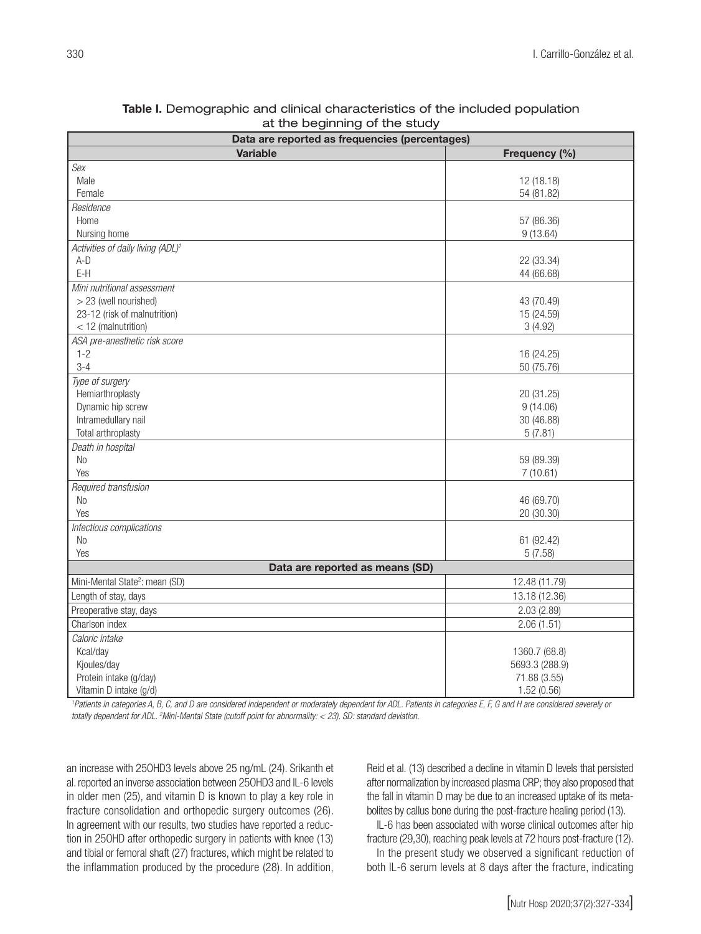| Data are reported as frequencies (percentages) |                |  |  |  |
|------------------------------------------------|----------------|--|--|--|
| <b>Variable</b>                                | Frequency (%)  |  |  |  |
| Sex                                            |                |  |  |  |
| Male                                           | 12 (18.18)     |  |  |  |
| Female                                         | 54 (81.82)     |  |  |  |
| Residence                                      |                |  |  |  |
| Home                                           | 57 (86.36)     |  |  |  |
| Nursing home                                   | 9(13.64)       |  |  |  |
| Activities of daily living (ADL) <sup>1</sup>  |                |  |  |  |
| $A-D$                                          | 22 (33.34)     |  |  |  |
| $E-H$                                          | 44 (66.68)     |  |  |  |
| Mini nutritional assessment                    |                |  |  |  |
| > 23 (well nourished)                          | 43 (70.49)     |  |  |  |
| 23-12 (risk of malnutrition)                   | 15 (24.59)     |  |  |  |
| < 12 (malnutrition)                            | 3(4.92)        |  |  |  |
| ASA pre-anesthetic risk score                  |                |  |  |  |
| $1 - 2$                                        | 16 (24.25)     |  |  |  |
| $3 - 4$                                        | 50 (75.76)     |  |  |  |
| Type of surgery                                |                |  |  |  |
| Hemiarthroplasty                               | 20 (31.25)     |  |  |  |
| Dynamic hip screw                              | 9(14.06)       |  |  |  |
| Intramedullary nail                            | 30 (46.88)     |  |  |  |
| Total arthroplasty                             | 5(7.81)        |  |  |  |
| Death in hospital                              |                |  |  |  |
| <b>No</b>                                      | 59 (89.39)     |  |  |  |
| Yes                                            | 7(10.61)       |  |  |  |
| Required transfusion                           |                |  |  |  |
| <b>No</b>                                      | 46 (69.70)     |  |  |  |
| Yes                                            | 20 (30.30)     |  |  |  |
| Infectious complications                       |                |  |  |  |
| <b>No</b>                                      | 61 (92.42)     |  |  |  |
| Yes                                            | 5(7.58)        |  |  |  |
| Data are reported as means (SD)                |                |  |  |  |
| Mini-Mental State <sup>2</sup> : mean (SD)     | 12.48 (11.79)  |  |  |  |
| Length of stay, days                           | 13.18 (12.36)  |  |  |  |
| Preoperative stay, days                        | 2.03(2.89)     |  |  |  |
| Charlson index                                 | 2.06(1.51)     |  |  |  |
| Caloric intake                                 |                |  |  |  |
| Kcal/day                                       | 1360.7 (68.8)  |  |  |  |
| Kjoules/day                                    | 5693.3 (288.9) |  |  |  |
| Protein intake (g/day)                         | 71.88 (3.55)   |  |  |  |
| Vitamin D intake (g/d)                         | 1.52(0.56)     |  |  |  |

### Table I. Demographic and clinical characteristics of the included population at the beginning of the study

<sup>1</sup> Patients in categories A, B, C, and D are considered independent or moderately dependent for ADL. Patients in categories E, F, G and H are considered severely or *totally dependent for ADL. 2 Mini-Mental State (cutoff point for abnormality: < 23). SD: standard deviation.*

an increase with 25OHD3 levels above 25 ng/mL (24). Srikanth et al. reported an inverse association between 25OHD3 and IL-6 levels in older men (25), and vitamin D is known to play a key role in fracture consolidation and orthopedic surgery outcomes (26). In agreement with our results, two studies have reported a reduction in 25OHD after orthopedic surgery in patients with knee (13) and tibial or femoral shaft (27) fractures, which might be related to the inflammation produced by the procedure (28). In addition, Reid et al. (13) described a decline in vitamin D levels that persisted after normalization by increased plasma CRP; they also proposed that the fall in vitamin D may be due to an increased uptake of its metabolites by callus bone during the post-fracture healing period (13).

IL-6 has been associated with worse clinical outcomes after hip fracture (29,30), reaching peak levels at 72 hours post-fracture (12). In the present study we observed a significant reduction of both IL-6 serum levels at 8 days after the fracture, indicating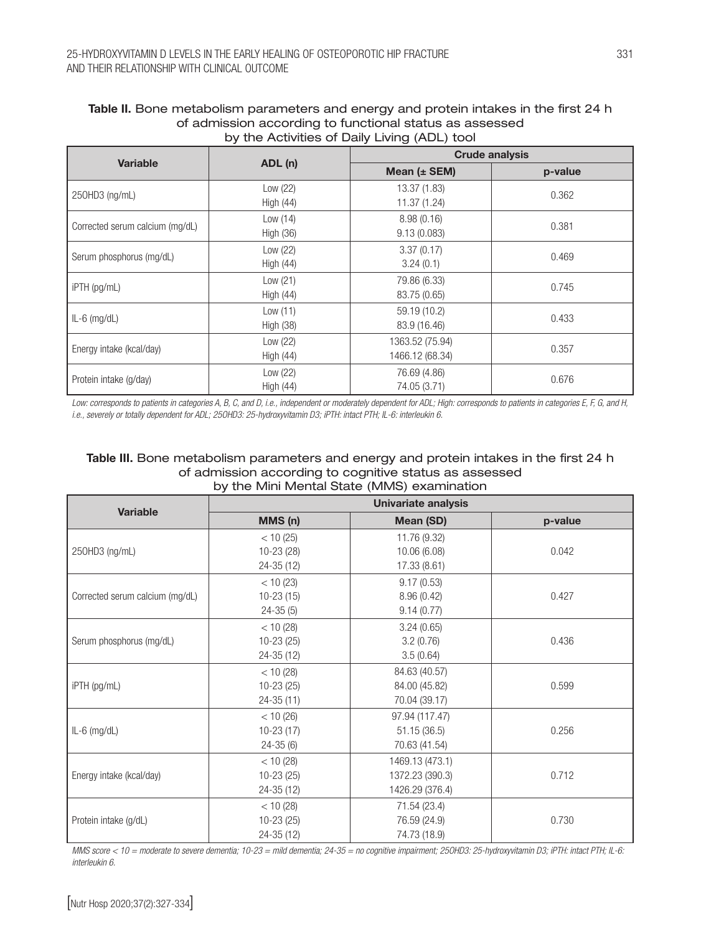| <b>Variable</b>                 | ADL (n)     | $\sigma$ and $\sigma$ to the third of Daily Living ( $\sigma$ to L) toon<br><b>Crude analysis</b> |         |  |
|---------------------------------|-------------|---------------------------------------------------------------------------------------------------|---------|--|
|                                 |             | Mean $(\pm$ SEM)                                                                                  | p-value |  |
| 250HD3 (ng/mL)                  | Low (22)    | 13.37 (1.83)                                                                                      | 0.362   |  |
|                                 | High (44)   | 11.37(1.24)                                                                                       |         |  |
| Corrected serum calcium (mg/dL) | Low $(14)$  | 8.98(0.16)                                                                                        | 0.381   |  |
|                                 | High (36)   | 9.13(0.083)                                                                                       |         |  |
| Serum phosphorus (mg/dL)        | Low (22)    | 3.37(0.17)                                                                                        | 0.469   |  |
|                                 | High (44)   | 3.24(0.1)                                                                                         |         |  |
| $i$ PTH (pg/mL)                 | Low (21)    | 79.86 (6.33)                                                                                      | 0.745   |  |
|                                 | High (44)   | 83.75 (0.65)                                                                                      |         |  |
| $IL-6$ (mg/dL)                  | Low(11)     | 59.19 (10.2)                                                                                      | 0.433   |  |
|                                 | High (38)   | 83.9 (16.46)                                                                                      |         |  |
| Energy intake (kcal/day)        | Low (22)    | 1363.52 (75.94)                                                                                   | 0.357   |  |
|                                 | High (44)   | 1466.12 (68.34)                                                                                   |         |  |
| Protein intake (g/day)          | Low (22)    | 76.69 (4.86)                                                                                      | 0.676   |  |
|                                 | High $(44)$ | 74.05 (3.71)                                                                                      |         |  |

#### Table II. Bone metabolism parameters and energy and protein intakes in the first 24 h of admission according to functional status as assessed by the Activities of Daily Living (ADL) tool

Low: corresponds to patients in categories A, B, C, and D, i.e., independent or moderately dependent for ADL; High: corresponds to patients in categories E, F, G, and H, *i.e., severely or totally dependent for ADL; 25OHD3: 25-hydroxyvitamin D3; iPTH: intact PTH; IL-6: interleukin 6.*

# Table III. Bone metabolism parameters and energy and protein intakes in the first 24 h of admission according to cognitive status as assessed by the Mini Mental State (MMS) examination

| <b>Variable</b>                 | Univariate analysis                     |                                                       |         |  |
|---------------------------------|-----------------------------------------|-------------------------------------------------------|---------|--|
|                                 | MMS(n)                                  | Mean (SD)                                             | p-value |  |
| 250HD3 (ng/mL)                  | < 10(25)<br>$10-23(28)$<br>24-35 (12)   | 11.76 (9.32)<br>10.06 (6.08)<br>17.33 (8.61)          | 0.042   |  |
| Corrected serum calcium (mg/dL) | < 10(23)<br>$10-23(15)$<br>$24 - 35(5)$ | 9.17(0.53)<br>8.96(0.42)<br>9.14(0.77)                | 0.427   |  |
| Serum phosphorus (mg/dL)        | < 10(28)<br>$10-23(25)$<br>24-35 (12)   | 3.24(0.65)<br>3.2(0.76)<br>3.5(0.64)                  | 0.436   |  |
| iPTH (pg/mL)                    | < 10(28)<br>$10-23(25)$<br>$24-35(11)$  | 84.63 (40.57)<br>84.00 (45.82)<br>70.04 (39.17)       | 0.599   |  |
| $IL-6$ (mg/dL)                  | < 10(26)<br>$10-23(17)$<br>$24 - 35(6)$ | 97.94 (117.47)<br>51.15(36.5)<br>70.63 (41.54)        | 0.256   |  |
| Energy intake (kcal/day)        | < 10(28)<br>$10-23(25)$<br>24-35 (12)   | 1469.13 (473.1)<br>1372.23 (390.3)<br>1426.29 (376.4) | 0.712   |  |
| Protein intake (g/dL)           | < 10(28)<br>$10-23(25)$<br>24-35 (12)   | 71.54 (23.4)<br>76.59 (24.9)<br>74.73 (18.9)          | 0.730   |  |

*MMS score < 10 = moderate to severe dementia; 10-23 = mild dementia; 24-35 = no cognitive impairment; 25OHD3: 25-hydroxyvitamin D3; iPTH: intact PTH; IL-6: interleukin 6.*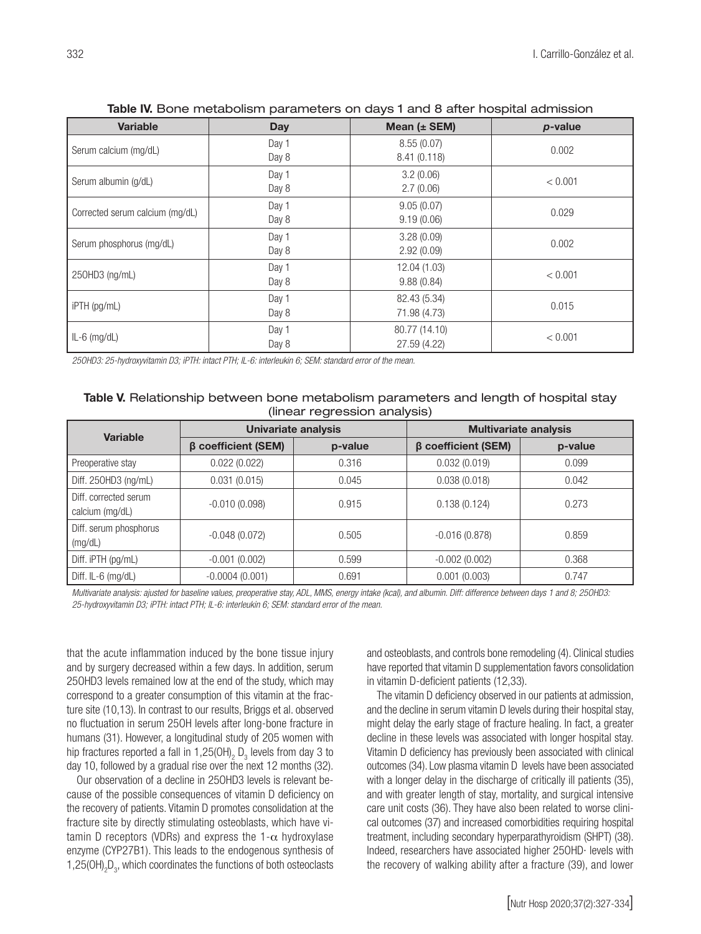| <b>Variable</b>                 | <b>Day</b>     | Mean $(\pm$ SEM)              | $p$ -value |
|---------------------------------|----------------|-------------------------------|------------|
| Serum calcium (mg/dL)           | Day 1<br>Day 8 | 8.55(0.07)<br>8.41(0.118)     | 0.002      |
| Serum albumin (g/dL)            | Day 1<br>Day 8 | 3.2(0.06)<br>2.7(0.06)        | < 0.001    |
| Corrected serum calcium (mg/dL) | Day 1<br>Day 8 | 9.05(0.07)<br>9.19(0.06)      | 0.029      |
| Serum phosphorus (mg/dL)        | Day 1<br>Day 8 | 3.28(0.09)<br>2.92(0.09)      | 0.002      |
| 250HD3 (ng/mL)                  | Day 1<br>Day 8 | 12.04 (1.03)<br>9.88(0.84)    | < 0.001    |
| iPTH (pg/mL)                    | Day 1<br>Day 8 | 82.43 (5.34)<br>71.98 (4.73)  | 0.015      |
| $IL-6$ (mg/dL)                  | Day 1<br>Day 8 | 80.77 (14.10)<br>27.59 (4.22) | < 0.001    |

Table IV. Bone metabolism parameters on days 1 and 8 after hospital admission

*25OHD3: 25-hydroxyvitamin D3; iPTH: intact PTH; IL-6: interleukin 6; SEM: standard error of the mean.*

### Table V. Relationship between bone metabolism parameters and length of hospital stay (linear regression analysis)

| <b>Variable</b>                          | Univariate analysis |         | <b>Multivariate analysis</b> |         |
|------------------------------------------|---------------------|---------|------------------------------|---------|
|                                          | β coefficient (SEM) | p-value | β coefficient (SEM)          | p-value |
| Preoperative stay                        | 0.022(0.022)        | 0.316   | 0.032(0.019)                 | 0.099   |
| Diff. 250HD3 (ng/mL)                     | 0.031(0.015)        | 0.045   | 0.038(0.018)                 | 0.042   |
| Diff. corrected serum<br>calcium (mg/dL) | $-0.010(0.098)$     | 0.915   | 0.138(0.124)                 | 0.273   |
| Diff. serum phosphorus<br>(mg/dL)        | $-0.048(0.072)$     | 0.505   | $-0.016(0.878)$              | 0.859   |
| Diff. iPTH (pg/mL)                       | $-0.001(0.002)$     | 0.599   | $-0.002(0.002)$              | 0.368   |
| Diff. $IL-6$ (mg/dL)                     | $-0.0004(0.001)$    | 0.691   | 0.001(0.003)                 | 0.747   |

*Multivariate analysis: ajusted for baseline values, preoperative stay, ADL, MMS, energy intake (kcal), and albumin. Diff: difference between days 1 and 8; 25OHD3: 25-hydroxyvitamin D3; iPTH: intact PTH; IL-6: interleukin 6; SEM: standard error of the mean.*

that the acute inflammation induced by the bone tissue injury and by surgery decreased within a few days. In addition, serum 25OHD3 levels remained low at the end of the study, which may correspond to a greater consumption of this vitamin at the fracture site (10,13). In contrast to our results, Briggs et al. observed no fluctuation in serum 25OH levels after long-bone fracture in humans (31). However, a longitudinal study of 205 women with hip fractures reported a fall in 1,25(OH)<sub>2</sub>  $\mathsf{D}_3$  levels from day 3 to day 10, followed by a gradual rise over the next 12 months (32).

Our observation of a decline in 25OHD3 levels is relevant because of the possible consequences of vitamin D deficiency on the recovery of patients. Vitamin D promotes consolidation at the fracture site by directly stimulating osteoblasts, which have vitamin D receptors (VDRs) and express the 1- $\alpha$  hydroxylase enzyme (CYP27B1). This leads to the endogenous synthesis of 1,25(OH)<sub>2</sub>D<sub>3</sub>, which coordinates the functions of both osteoclasts and osteoblasts, and controls bone remodeling (4). Clinical studies have reported that vitamin D supplementation favors consolidation in vitamin D-deficient patients (12,33).

The vitamin D deficiency observed in our patients at admission, and the decline in serum vitamin D levels during their hospital stay, might delay the early stage of fracture healing. In fact, a greater decline in these levels was associated with longer hospital stay. Vitamin D deficiency has previously been associated with clinical outcomes (34). Low plasma vitamin D levels have been associated with a longer delay in the discharge of critically ill patients (35), and with greater length of stay, mortality, and surgical intensive care unit costs (36). They have also been related to worse clinical outcomes (37) and increased comorbidities requiring hospital treatment, including secondary hyperparathyroidism (SHPT) (38). Indeed, researchers have associated higher 25OHD· levels with the recovery of walking ability after a fracture (39), and lower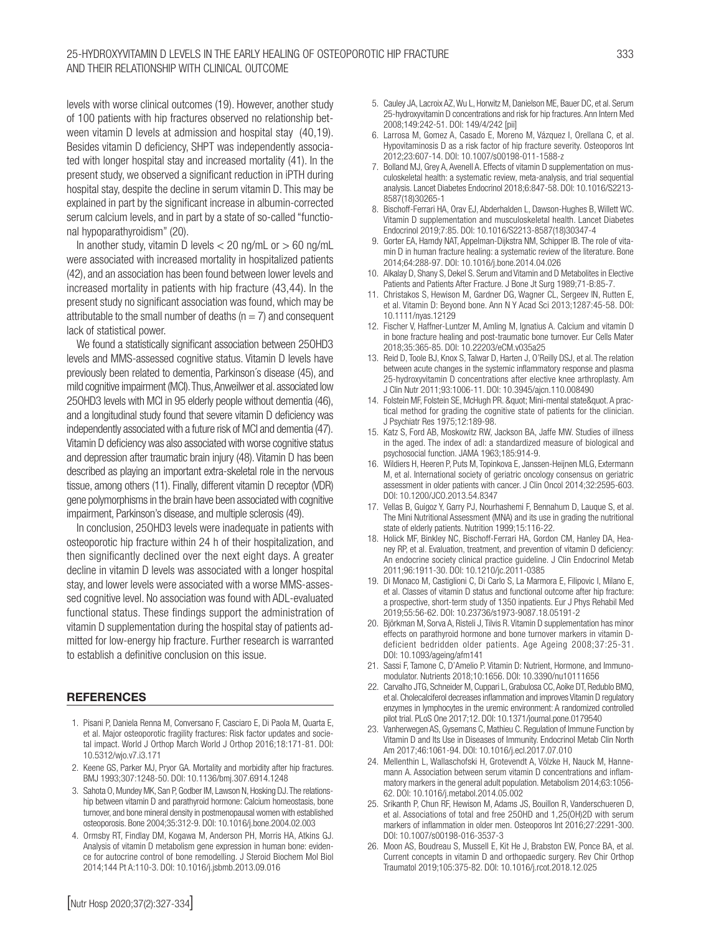levels with worse clinical outcomes (19). However, another study of 100 patients with hip fractures observed no relationship between vitamin D levels at admission and hospital stay (40,19). Besides vitamin D deficiency, SHPT was independently associated with longer hospital stay and increased mortality (41). In the present study, we observed a significant reduction in iPTH during hospital stay, despite the decline in serum vitamin D. This may be explained in part by the significant increase in albumin-corrected serum calcium levels, and in part by a state of so-called "functional hypoparathyroidism" (20).

In another study, vitamin D levels  $<$  20 ng/mL or  $>$  60 ng/mL were associated with increased mortality in hospitalized patients (42), and an association has been found between lower levels and increased mortality in patients with hip fracture (43,44). In the present study no significant association was found, which may be attributable to the small number of deaths ( $n = 7$ ) and consequent lack of statistical power.

We found a statistically significant association between 25OHD3 levels and MMS-assessed cognitive status. Vitamin D levels have previously been related to dementia, Parkinson´s disease (45), and mild cognitive impairment (MCI). Thus, Anweilwer et al. associated low 25OHD3 levels with MCI in 95 elderly people without dementia (46), and a longitudinal study found that severe vitamin D deficiency was independently associated with a future risk of MCI and dementia (47). Vitamin D deficiency was also associated with worse cognitive status and depression after traumatic brain injury (48). Vitamin D has been described as playing an important extra-skeletal role in the nervous tissue, among others (11). Finally, different vitamin D receptor (VDR) gene polymorphisms in the brain have been associated with cognitive impairment, Parkinson's disease, and multiple sclerosis (49).

In conclusion, 25OHD3 levels were inadequate in patients with osteoporotic hip fracture within 24 h of their hospitalization, and then significantly declined over the next eight days. A greater decline in vitamin D levels was associated with a longer hospital stay, and lower levels were associated with a worse MMS-assessed cognitive level. No association was found with ADL-evaluated functional status. These findings support the administration of vitamin D supplementation during the hospital stay of patients admitted for low-energy hip fracture. Further research is warranted to establish a definitive conclusion on this issue.

#### **REFERENCES**

- 1. Pisani P, Daniela Renna M, Conversano F, Casciaro E, Di Paola M, Quarta E, et al. Major osteoporotic fragility fractures: Risk factor updates and societal impact. World J Orthop March World J Orthop 2016;18:171-81. DOI: 10.5312/wjo.v7.i3.171
- 2. Keene GS, Parker MJ, Pryor GA. Mortality and morbidity after hip fractures. BMJ 1993;307:1248-50. DOI: 10.1136/bmj.307.6914.1248
- 3. Sahota O, Mundey MK, San P, Godber IM, Lawson N, Hosking DJ. The relationship between vitamin D and parathyroid hormone: Calcium homeostasis, bone turnover, and bone mineral density in postmenopausal women with established osteoporosis. Bone 2004;35:312-9. DOI: 10.1016/j.bone.2004.02.003
- 4. Ormsby RT, Findlay DM, Kogawa M, Anderson PH, Morris HA, Atkins GJ. Analysis of vitamin D metabolism gene expression in human bone: evidence for autocrine control of bone remodelling. J Steroid Biochem Mol Biol 2014;144 Pt A:110-3. DOI: 10.1016/j.jsbmb.2013.09.016
- 5. Cauley JA, Lacroix AZ, Wu L, Horwitz M, Danielson ME, Bauer DC, et al. Serum 25-hydroxyvitamin D concentrations and risk for hip fractures. Ann Intern Med 2008;149:242-51. DOI: 149/4/242 [pii]
- 6. Larrosa M, Gomez A, Casado E, Moreno M, Vázquez I, Orellana C, et al. Hypovitaminosis D as a risk factor of hip fracture severity. Osteoporos Int 2012;23:607-14. DOI: 10.1007/s00198-011-1588-z
- 7. Bolland MJ, Grey A, Avenell A. Effects of vitamin D supplementation on musculoskeletal health: a systematic review, meta-analysis, and trial sequential analysis. Lancet Diabetes Endocrinol 2018;6:847-58. DOI: 10.1016/S2213- 8587(18)30265-1
- 8. Bischoff-Ferrari HA, Orav EJ, Abderhalden L, Dawson-Hughes B, Willett WC. Vitamin D supplementation and musculoskeletal health. Lancet Diabetes Endocrinol 2019;7:85. DOI: 10.1016/S2213-8587(18)30347-4
- 9. Gorter EA, Hamdy NAT, Appelman-Dijkstra NM, Schipper IB. The role of vitamin D in human fracture healing: a systematic review of the literature. Bone 2014;64:288-97. DOI: 10.1016/j.bone.2014.04.026
- 10. Alkalay D, Shany S, Dekel S. Serum and Vitamin and D Metabolites in Elective Patients and Patients After Fracture. J Bone Jt Surg 1989;71-B:85-7.
- 11. Christakos S, Hewison M, Gardner DG, Wagner CL, Sergeev IN, Rutten E, et al. Vitamin D: Beyond bone. Ann N Y Acad Sci 2013;1287:45-58. DOI: 10.1111/nyas.12129
- 12. Fischer V, Haffner-Luntzer M, Amling M, Ignatius A. Calcium and vitamin D in bone fracture healing and post-traumatic bone turnover. Eur Cells Mater 2018;35:365-85. DOI: 10.22203/eCM.v035a25
- 13. Reid D, Toole BJ, Knox S, Talwar D, Harten J, O'Reilly DSJ, et al. The relation between acute changes in the systemic inflammatory response and plasma 25-hydroxyvitamin D concentrations after elective knee arthroplasty. Am J Clin Nutr 2011;93:1006-11. DOI: 10.3945/ajcn.110.008490
- 14. Folstein MF, Folstein SE, McHugh PR. " Mini-mental state&quot. A practical method for grading the cognitive state of patients for the clinician. J Psychiatr Res 1975;12:189-98.
- 15. Katz S, Ford AB, Moskowitz RW, Jackson BA, Jaffe MW. Studies of illness in the aged. The index of adl: a standardized measure of biological and psychosocial function. JAMA 1963;185:914-9.
- 16. Wildiers H, Heeren P, Puts M, Topinkova E, Janssen-Heijnen MLG, Extermann M, et al. International society of geriatric oncology consensus on geriatric assessment in older patients with cancer. J Clin Oncol 2014;32:2595-603. DOI: 10.1200/JCO.2013.54.8347
- 17. Vellas B, Guigoz Y, Garry PJ, Nourhashemi F, Bennahum D, Lauque S, et al. The Mini Nutritional Assessment (MNA) and its use in grading the nutritional state of elderly patients. Nutrition 1999;15:116-22.
- 18. Holick MF, Binkley NC, Bischoff-Ferrari HA, Gordon CM, Hanley DA, Heaney RP, et al. Evaluation, treatment, and prevention of vitamin D deficiency: An endocrine society clinical practice guideline. J Clin Endocrinol Metab 2011;96:1911-30. DOI: 10.1210/jc.2011-0385
- 19. Di Monaco M, Castiglioni C, Di Carlo S, La Marmora E, Filipovic I, Milano E, et al. Classes of vitamin D status and functional outcome after hip fracture: a prospective, short-term study of 1350 inpatients. Eur J Phys Rehabil Med 2019;55:56-62. DOI: 10.23736/s1973-9087.18.05191-2
- 20. Björkman M, Sorva A, Risteli J, Tilvis R. Vitamin D supplementation has minor effects on parathyroid hormone and bone turnover markers in vitamin Ddeficient bedridden older patients. Age Ageing 2008;37:25-31. DOI: 10.1093/ageing/afm141
- 21. Sassi F, Tamone C, D'Amelio P. Vitamin D: Nutrient, Hormone, and Immunomodulator. Nutrients 2018;10:1656. DOI: 10.3390/nu10111656
- 22. Carvalho JTG, Schneider M, Cuppari L, Grabulosa CC, Aoike DT, Redublo BMQ, et al. Cholecalciferol decreases inflammation and improves Vitamin D regulatory enzymes in lymphocytes in the uremic environment: A randomized controlled pilot trial. PLoS One 2017;12. DOI: 10.1371/journal.pone.0179540
- 23. Vanherwegen AS, Gysemans C, Mathieu C. Regulation of Immune Function by Vitamin D and Its Use in Diseases of Immunity. Endocrinol Metab Clin North Am 2017;46:1061-94. DOI: 10.1016/j.ecl.2017.07.010
- 24. Mellenthin L, Wallaschofski H, Grotevendt A, Völzke H, Nauck M, Hannemann A. Association between serum vitamin D concentrations and inflammatory markers in the general adult population. Metabolism 2014;63:1056- 62. DOI: 10.1016/j.metabol.2014.05.002
- 25. Srikanth P, Chun RF, Hewison M, Adams JS, Bouillon R, Vanderschueren D, et al. Associations of total and free 25OHD and 1,25(OH)2D with serum markers of inflammation in older men. Osteoporos Int 2016;27:2291-300. DOI: 10.1007/s00198-016-3537-3
- 26. Moon AS, Boudreau S, Mussell E, Kit He J, Brabston EW, Ponce BA, et al. Current concepts in vitamin D and orthopaedic surgery. Rev Chir Orthop Traumatol 2019;105:375-82. DOI: 10.1016/j.rcot.2018.12.025